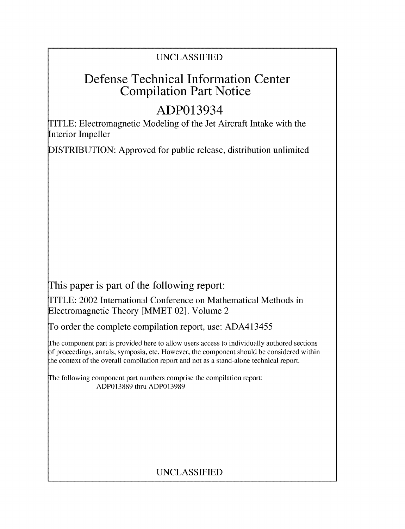## UNCLASSIFIED

## Defense Technical Information Center Compilation Part Notice

# ADP013934

TITLE: Electromagnetic Modeling of the Jet Aircraft Intake with the Interior Impeller

DISTRIBUTION: Approved for public release, distribution unlimited

This paper is part of the following report:

TITLE: 2002 International Conference on Mathematical Methods in Electromagnetic Theory [MMET 02]. Volume 2

To order the complete compilation report, use: ADA413455

The component part is provided here to allow users access to individually authored sections f proceedings, annals, symposia, etc. However, the component should be considered within the context of the overall compilation report and not as a stand-alone technical report.

The following component part numbers comprise the compilation report: ADP013889 thru ADP013989

## UNCLASSIFIED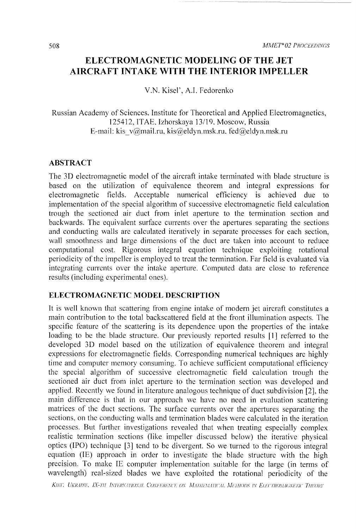### **ELECTROMAGNETIC MODELING** OF THE **JET** AIRCRAFT **INTAKE** WITH THE INTERIOR IMPELLER

V.N. Kisel', A.I. Fedorenko

Russian Academy of Sciences. Institute for Theoretical and Applied Electromagnetics, 125412, ITAE, Izhorskaya 13/19. Moscow, Russia E-mail: kis v@mail.ru, kis@eldyn.msk.ru, fed@eldyn.msk.ru

#### ABSTRACT

The 3D electromagnetic model of the aircraft intake terminated with blade structure is based on the utilization of equivalence theorem and integral expressions for electromagnetic fields. Acceptable numerical efficiency is achieved due to implementation of the special algorithm of successive electromagnetic field calculation trough the sectioned air duct from inlet aperture to the termination section and backwards. The equivalent surface currents over the apertures separating the sections and conducting walls are calculated iteratively in separate processes for each section, wall smoothness and large dimensions of the duct are taken into account to reduce computational cost. Rigorous integral equation technique exploiting rotational periodicity of the impeller is employed to treat the termination. Far field is evaluated via integrating currents over the intake aperture. Computed data are close to reference results (including experimental ones).

#### **ELECTROMAGNETIC** MODEL **DESCRIPTION**

It is well known that scattering from engine intake of modern jet aircraft constitutes a main contribution to the total backscattered field at the front illumination aspects. The specific feature of the scattering is its dependence upon the properties of the intake loading to be the blade structure. Our previously reported results [1] referred to the developed 3D model based on the utilization of equivalence theorem and integral expressions for electromagnetic fields. Corresponding numerical techniques are highly time and computer memory consuming. To achieve sufficient computational efficiency the special algorithm of successive electromagnetic field calculation trough the sectioned air duct from inlet aperture to the termination section was developed and applied. Recently we found in literature analogous technique of duct subdivision [2], the main difference is that in our approach we have no need in evaluation scattering matrices of the duct sections. The surface currents over the apertures separating the sections, on the conducting walls and termination blades were calculated in the iteration processes. But further investigations revealed that when treating especially complex realistic termination sections (like impeller discussed below) the iterative physical optics (IPO) technique **[3]** tend to be divergent. So we turned to the rigorous integral equation (IE) approach in order to investigate the blade structure with the high precision. To make **IE** computer implementation suitable for the large (in terms of wavelength) real-sized blades we have exploited the rotational periodicity of the

KHET, UKRAINE, IX-TH INTERNATIONAL CONFERENCE ON MATHEMATICAL METHODS IN ELECTROMAGNETIC THEORY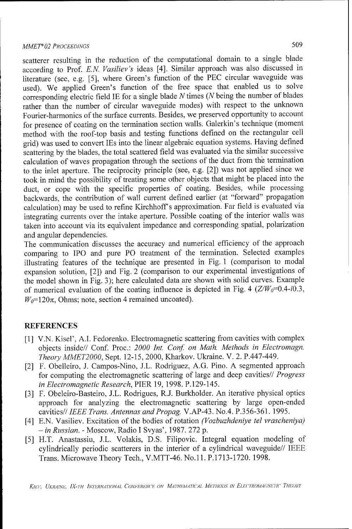scatterer resulting in the reduction of the computational domain to a single blade according to Prof. *E.N. Vasiliev's* ideas [4]. Similar approach was also discussed in literature (see, e.g. [5], where Green's function of the **PEC** circular waveguide was used). We applied Green's function of the free space that enabled us to solve corresponding electric field **IE** for a single blade N times (N being the number of blades rather than the number of circular waveguide modes) with respect to the unknown Fourier-harmonics of the surface currents. Besides, we preserved opportunity to account for presence of coating on the termination section walls. Galerkin's technique (moment method with the roof-top basis and testing functions defined on the rectangular cell grid) was used to convert TEs into the linear algebraic equation systems. Having defined scattering by the blades, the total scattered field was evaluated via the similar successive calculation of waves propagation through the sections of the duct from the termination to the inlet aperture. The reciprocity principle (see, e.g. [2]) was not applied since we took in mind the possibility of treating some other objects that might be placed into the duct, or cope with the specific properties of coating. Besides, while processing backwards, the contribution of wall current defined earlier (at "forward" propagation calculation) may be used to refine Kirchhoff's approximation. Far field is evaluated via integrating currents over the intake aperture. Possible coating of the interior walls was taken into account via its equivalent impedance and corresponding spatial, polarization and angular dependencies.

The communication discusses the accuracy and numerical efficiency of the approach comparing to IPO and pure PO treatment of the termination. Selected examples illustrating features of the technique are presented in Fig. 1 (comparison to modal expansion solution, [2]) and Fig. 2 (comparison to our experimental investigations of the model shown in Fig. 3); here calculated data are shown with solid curves. Example of numerical evaluation of the coating influence is depicted in Fig. 4  $(Z/W_0=0.4-i0.3$ ,  $W_0$ =120 $\pi$ , Ohms; note, section 4 remained uncoated).

#### **REFERENCES**

- [1] V.N. Kisel', A.I. Fedorenko. Electromagnetic scattering from cavities with complex objects inside// Conf. Proc.: 2000 Int. Conf. on Math. Methods in Electromagn. *Theory MMET2000,* Sept. 12-15, 2000, Kharkov. Ukraine. V. 2. P.447-449.
- [2] F. Obelleiro, J. Campos-Nino, J.L. Rodriguez, A.G. Pino. A segmented approach for computing the electromagnetic scattering of large and deep cavities// *Progress in Electromagnetic Research,* PIER 19, 1998. P. 129-145.
- [3] F. Obeleiro-Basteiro, J.L. Rodrigues, R.J. Burkholder. An iterative physical optics approach for analyzing the electromagnetic scattering by large open-ended cavities// *IEEE Trans. Antennas and Propag.* V.AP-43. No.4. P.356-361. 1995.
- [4] E.N. Vasiliev. Excitation of the bodies of rotation *(Vozbuzhdeniye tel vrascheniya)* - *in Russian.* - Moscow, Radio I Svyas', 1987. 272 p.
- [5] H.T. Anastassiu, J.L. Volakis, D.S. Filipovic. Integral equation modeling of cylindrically periodic scatterers in the interior of a cylindrical waveguide// IEEE Trans. Microwave Theory Tech., V.MTT-46. No.11. P.1713-1720. 1998.

KIEV, UKRAINE, IX-TH INTERNATIONAL CONFERENCE ON MATHEMATICAL METHODS IN ELECTROMAGNETIC THEORY